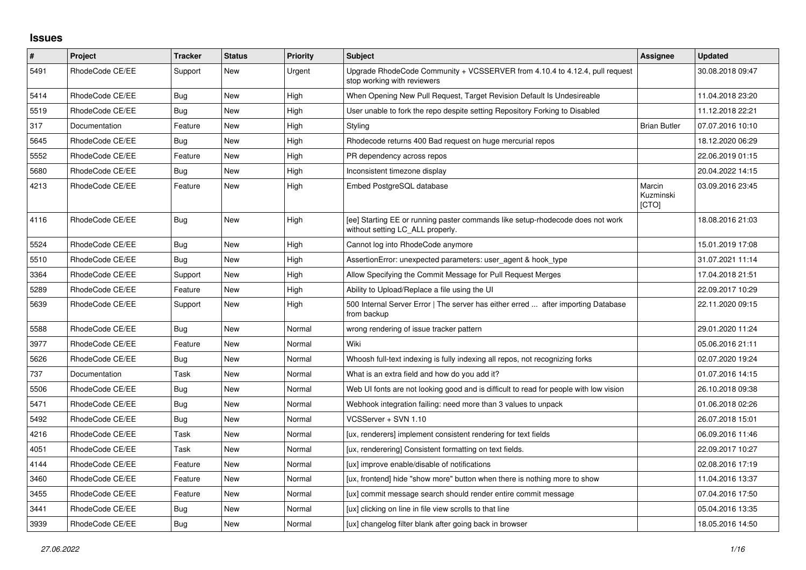## **Issues**

| $\pmb{\#}$ | Project         | <b>Tracker</b> | <b>Status</b> | <b>Priority</b> | <b>Subject</b>                                                                                                     | Assignee                     | <b>Updated</b>   |
|------------|-----------------|----------------|---------------|-----------------|--------------------------------------------------------------------------------------------------------------------|------------------------------|------------------|
| 5491       | RhodeCode CE/EE | Support        | <b>New</b>    | Urgent          | Upgrade RhodeCode Community + VCSSERVER from 4.10.4 to 4.12.4, pull request<br>stop working with reviewers         |                              | 30.08.2018 09:47 |
| 5414       | RhodeCode CE/EE | Bug            | New           | High            | When Opening New Pull Request, Target Revision Default Is Undesireable                                             |                              | 11.04.2018 23:20 |
| 5519       | RhodeCode CE/EE | <b>Bug</b>     | New           | High            | User unable to fork the repo despite setting Repository Forking to Disabled                                        |                              | 11.12.2018 22:21 |
| 317        | Documentation   | Feature        | <b>New</b>    | High            | Styling                                                                                                            | <b>Brian Butler</b>          | 07.07.2016 10:10 |
| 5645       | RhodeCode CE/EE | Bug            | New           | High            | Rhodecode returns 400 Bad request on huge mercurial repos                                                          |                              | 18.12.2020 06:29 |
| 5552       | RhodeCode CE/EE | Feature        | <b>New</b>    | High            | PR dependency across repos                                                                                         |                              | 22.06.2019 01:15 |
| 5680       | RhodeCode CE/EE | Bug            | <b>New</b>    | High            | Inconsistent timezone display                                                                                      |                              | 20.04.2022 14:15 |
| 4213       | RhodeCode CE/EE | Feature        | <b>New</b>    | High            | Embed PostgreSQL database                                                                                          | Marcin<br>Kuzminski<br>[CTO] | 03.09.2016 23:45 |
| 4116       | RhodeCode CE/EE | <b>Bug</b>     | <b>New</b>    | High            | [ee] Starting EE or running paster commands like setup-rhodecode does not work<br>without setting LC ALL properly. |                              | 18.08.2016 21:03 |
| 5524       | RhodeCode CE/EE | <b>Bug</b>     | <b>New</b>    | High            | Cannot log into RhodeCode anymore                                                                                  |                              | 15.01.2019 17:08 |
| 5510       | RhodeCode CE/EE | Bug            | <b>New</b>    | High            | AssertionError: unexpected parameters: user agent & hook type                                                      |                              | 31.07.2021 11:14 |
| 3364       | RhodeCode CE/EE | Support        | <b>New</b>    | High            | Allow Specifying the Commit Message for Pull Request Merges                                                        |                              | 17.04.2018 21:51 |
| 5289       | RhodeCode CE/EE | Feature        | <b>New</b>    | High            | Ability to Upload/Replace a file using the UI                                                                      |                              | 22.09.2017 10:29 |
| 5639       | RhodeCode CE/EE | Support        | <b>New</b>    | High            | 500 Internal Server Error   The server has either erred  after importing Database<br>from backup                   |                              | 22.11.2020 09:15 |
| 5588       | RhodeCode CE/EE | Bug            | <b>New</b>    | Normal          | wrong rendering of issue tracker pattern                                                                           |                              | 29.01.2020 11:24 |
| 3977       | RhodeCode CE/EE | Feature        | <b>New</b>    | Normal          | Wiki                                                                                                               |                              | 05.06.2016 21:11 |
| 5626       | RhodeCode CE/EE | Bug            | New           | Normal          | Whoosh full-text indexing is fully indexing all repos, not recognizing forks                                       |                              | 02.07.2020 19:24 |
| 737        | Documentation   | Task           | <b>New</b>    | Normal          | What is an extra field and how do you add it?                                                                      |                              | 01.07.2016 14:15 |
| 5506       | RhodeCode CE/EE | Bug            | <b>New</b>    | Normal          | Web UI fonts are not looking good and is difficult to read for people with low vision                              |                              | 26.10.2018 09:38 |
| 5471       | RhodeCode CE/EE | Bug            | New           | Normal          | Webhook integration failing: need more than 3 values to unpack                                                     |                              | 01.06.2018 02:26 |
| 5492       | RhodeCode CE/EE | Bug            | New           | Normal          | VCSServer + SVN 1.10                                                                                               |                              | 26.07.2018 15:01 |
| 4216       | RhodeCode CE/EE | Task           | <b>New</b>    | Normal          | [ux, renderers] implement consistent rendering for text fields                                                     |                              | 06.09.2016 11:46 |
| 4051       | RhodeCode CE/EE | Task           | New           | Normal          | [ux, renderering] Consistent formatting on text fields.                                                            |                              | 22.09.2017 10:27 |
| 4144       | RhodeCode CE/EE | Feature        | <b>New</b>    | Normal          | [ux] improve enable/disable of notifications                                                                       |                              | 02.08.2016 17:19 |
| 3460       | RhodeCode CE/EE | Feature        | <b>New</b>    | Normal          | [ux, frontend] hide "show more" button when there is nothing more to show                                          |                              | 11.04.2016 13:37 |
| 3455       | RhodeCode CE/EE | Feature        | New           | Normal          | [ux] commit message search should render entire commit message                                                     |                              | 07.04.2016 17:50 |
| 3441       | RhodeCode CE/EE | Bug            | New           | Normal          | [ux] clicking on line in file view scrolls to that line                                                            |                              | 05.04.2016 13:35 |
| 3939       | RhodeCode CE/EE | Bug            | <b>New</b>    | Normal          | [ux] changelog filter blank after going back in browser                                                            |                              | 18.05.2016 14:50 |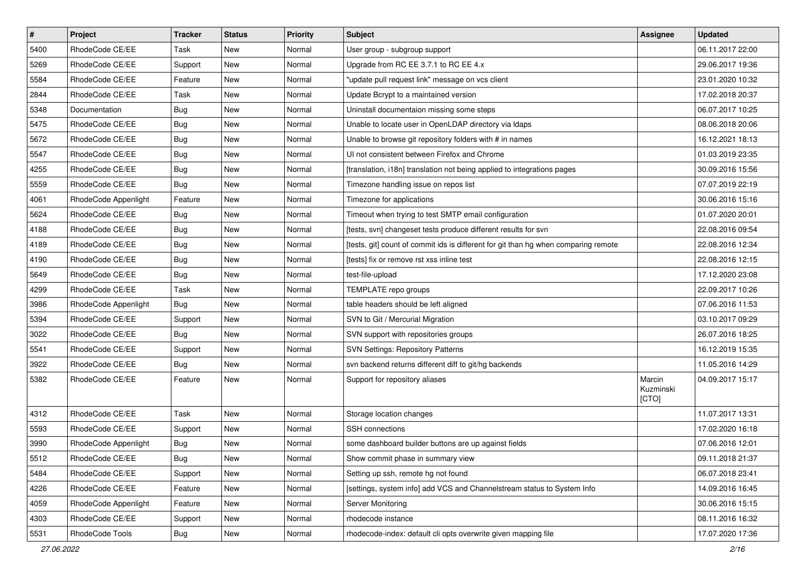| $\sharp$ | Project              | <b>Tracker</b> | <b>Status</b> | <b>Priority</b> | <b>Subject</b>                                                                      | <b>Assignee</b>              | <b>Updated</b>   |
|----------|----------------------|----------------|---------------|-----------------|-------------------------------------------------------------------------------------|------------------------------|------------------|
| 5400     | RhodeCode CE/EE      | Task           | New           | Normal          | User group - subgroup support                                                       |                              | 06.11.2017 22:00 |
| 5269     | RhodeCode CE/EE      | Support        | New           | Normal          | Upgrade from RC EE 3.7.1 to RC EE 4.x                                               |                              | 29.06.2017 19:36 |
| 5584     | RhodeCode CE/EE      | Feature        | New           | Normal          | "update pull request link" message on vcs client                                    |                              | 23.01.2020 10:32 |
| 2844     | RhodeCode CE/EE      | Task           | <b>New</b>    | Normal          | Update Bcrypt to a maintained version                                               |                              | 17.02.2018 20:37 |
| 5348     | Documentation        | Bug            | <b>New</b>    | Normal          | Uninstall documentaion missing some steps                                           |                              | 06.07.2017 10:25 |
| 5475     | RhodeCode CE/EE      | Bug            | New           | Normal          | Unable to locate user in OpenLDAP directory via Idaps                               |                              | 08.06.2018 20:06 |
| 5672     | RhodeCode CE/EE      | Bug            | New           | Normal          | Unable to browse git repository folders with # in names                             |                              | 16.12.2021 18:13 |
| 5547     | RhodeCode CE/EE      | Bug            | New           | Normal          | UI not consistent between Firefox and Chrome                                        |                              | 01.03.2019 23:35 |
| 4255     | RhodeCode CE/EE      | Bug            | <b>New</b>    | Normal          | [translation, i18n] translation not being applied to integrations pages             |                              | 30.09.2016 15:56 |
| 5559     | RhodeCode CE/EE      | Bug            | <b>New</b>    | Normal          | Timezone handling issue on repos list                                               |                              | 07.07.2019 22:19 |
| 4061     | RhodeCode Appenlight | Feature        | New           | Normal          | Timezone for applications                                                           |                              | 30.06.2016 15:16 |
| 5624     | RhodeCode CE/EE      | Bug            | New           | Normal          | Timeout when trying to test SMTP email configuration                                |                              | 01.07.2020 20:01 |
| 4188     | RhodeCode CE/EE      | Bug            | New           | Normal          | [tests, svn] changeset tests produce different results for svn                      |                              | 22.08.2016 09:54 |
| 4189     | RhodeCode CE/EE      | Bug            | <b>New</b>    | Normal          | [tests, git] count of commit ids is different for git than hg when comparing remote |                              | 22.08.2016 12:34 |
| 4190     | RhodeCode CE/EE      | Bug            | New           | Normal          | [tests] fix or remove rst xss inline test                                           |                              | 22.08.2016 12:15 |
| 5649     | RhodeCode CE/EE      | Bug            | New           | Normal          | test-file-upload                                                                    |                              | 17.12.2020 23:08 |
| 4299     | RhodeCode CE/EE      | <b>Task</b>    | New           | Normal          | TEMPLATE repo groups                                                                |                              | 22.09.2017 10:26 |
| 3986     | RhodeCode Appenlight | Bug            | <b>New</b>    | Normal          | table headers should be left aligned                                                |                              | 07.06.2016 11:53 |
| 5394     | RhodeCode CE/EE      | Support        | New           | Normal          | SVN to Git / Mercurial Migration                                                    |                              | 03.10.2017 09:29 |
| 3022     | RhodeCode CE/EE      | Bug            | New           | Normal          | SVN support with repositories groups                                                |                              | 26.07.2016 18:25 |
| 5541     | RhodeCode CE/EE      | Support        | New           | Normal          | <b>SVN Settings: Repository Patterns</b>                                            |                              | 16.12.2019 15:35 |
| 3922     | RhodeCode CE/EE      | Bug            | <b>New</b>    | Normal          | svn backend returns different diff to git/hg backends                               |                              | 11.05.2016 14:29 |
| 5382     | RhodeCode CE/EE      | Feature        | <b>New</b>    | Normal          | Support for repository aliases                                                      | Marcin<br>Kuzminski<br>[CTO] | 04.09.2017 15:17 |
| 4312     | RhodeCode CE/EE      | Task           | <b>New</b>    | Normal          | Storage location changes                                                            |                              | 11.07.2017 13:31 |
| 5593     | RhodeCode CE/EE      | Support        | New           | Normal          | SSH connections                                                                     |                              | 17.02.2020 16:18 |
| 3990     | RhodeCode Appenlight | <b>Bug</b>     | New           | Normal          | some dashboard builder buttons are up against fields                                |                              | 07.06.2016 12:01 |
| 5512     | RhodeCode CE/EE      | Bug            | New           | Normal          | Show commit phase in summary view                                                   |                              | 09.11.2018 21:37 |
| 5484     | RhodeCode CE/EE      | Support        | New           | Normal          | Setting up ssh, remote hg not found                                                 |                              | 06.07.2018 23:41 |
| 4226     | RhodeCode CE/EE      | Feature        | New           | Normal          | [settings, system info] add VCS and Channelstream status to System Info             |                              | 14.09.2016 16:45 |
| 4059     | RhodeCode Appenlight | Feature        | New           | Normal          | Server Monitoring                                                                   |                              | 30.06.2016 15:15 |
| 4303     | RhodeCode CE/EE      | Support        | New           | Normal          | rhodecode instance                                                                  |                              | 08.11.2016 16:32 |
| 5531     | RhodeCode Tools      | Bug            | New           | Normal          | rhodecode-index: default cli opts overwrite given mapping file                      |                              | 17.07.2020 17:36 |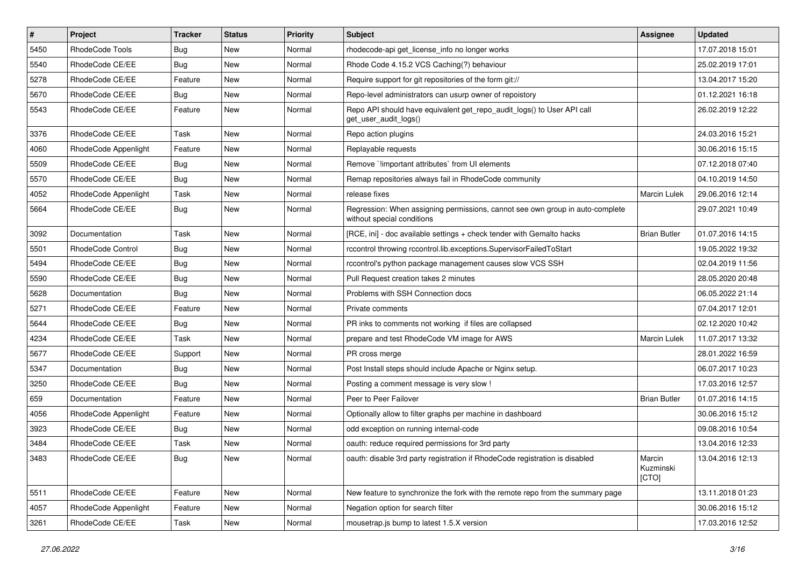| #    | Project                  | <b>Tracker</b> | <b>Status</b> | <b>Priority</b> | <b>Subject</b>                                                                                              | <b>Assignee</b>              | <b>Updated</b>   |
|------|--------------------------|----------------|---------------|-----------------|-------------------------------------------------------------------------------------------------------------|------------------------------|------------------|
| 5450 | RhodeCode Tools          | <b>Bug</b>     | New           | Normal          | rhodecode-api get license info no longer works                                                              |                              | 17.07.2018 15:01 |
| 5540 | RhodeCode CE/EE          | Bug            | <b>New</b>    | Normal          | Rhode Code 4.15.2 VCS Caching(?) behaviour                                                                  |                              | 25.02.2019 17:01 |
| 5278 | RhodeCode CE/EE          | Feature        | New           | Normal          | Require support for git repositories of the form git://                                                     |                              | 13.04.2017 15:20 |
| 5670 | RhodeCode CE/EE          | Bug            | New           | Normal          | Repo-level administrators can usurp owner of repoistory                                                     |                              | 01.12.2021 16:18 |
| 5543 | RhodeCode CE/EE          | Feature        | <b>New</b>    | Normal          | Repo API should have equivalent get_repo_audit_logs() to User API call<br>get_user_audit_logs()             |                              | 26.02.2019 12:22 |
| 3376 | RhodeCode CE/EE          | Task           | <b>New</b>    | Normal          | Repo action plugins                                                                                         |                              | 24.03.2016 15:21 |
| 4060 | RhodeCode Appenlight     | Feature        | New           | Normal          | Replayable requests                                                                                         |                              | 30.06.2016 15:15 |
| 5509 | RhodeCode CE/EE          | Bug            | New           | Normal          | Remove `limportant attributes` from UI elements                                                             |                              | 07.12.2018 07:40 |
| 5570 | RhodeCode CE/EE          | Bug            | <b>New</b>    | Normal          | Remap repositories always fail in RhodeCode community                                                       |                              | 04.10.2019 14:50 |
| 4052 | RhodeCode Appenlight     | Task           | New           | Normal          | release fixes                                                                                               | <b>Marcin Lulek</b>          | 29.06.2016 12:14 |
| 5664 | RhodeCode CE/EE          | Bug            | New           | Normal          | Regression: When assigning permissions, cannot see own group in auto-complete<br>without special conditions |                              | 29.07.2021 10:49 |
| 3092 | Documentation            | Task           | New           | Normal          | [RCE, ini] - doc available settings + check tender with Gemalto hacks                                       | <b>Brian Butler</b>          | 01.07.2016 14:15 |
| 5501 | <b>RhodeCode Control</b> | Bug            | New           | Normal          | rccontrol throwing rccontrol.lib.exceptions.SupervisorFailedToStart                                         |                              | 19.05.2022 19:32 |
| 5494 | RhodeCode CE/EE          | Bug            | New           | Normal          | rccontrol's python package management causes slow VCS SSH                                                   |                              | 02.04.2019 11:56 |
| 5590 | RhodeCode CE/EE          | Bug            | New           | Normal          | Pull Request creation takes 2 minutes                                                                       |                              | 28.05.2020 20:48 |
| 5628 | Documentation            | <b>Bug</b>     | <b>New</b>    | Normal          | Problems with SSH Connection docs                                                                           |                              | 06.05.2022 21:14 |
| 5271 | RhodeCode CE/EE          | Feature        | New           | Normal          | Private comments                                                                                            |                              | 07.04.2017 12:01 |
| 5644 | RhodeCode CE/EE          | Bug            | New           | Normal          | PR inks to comments not working if files are collapsed                                                      |                              | 02.12.2020 10:42 |
| 4234 | RhodeCode CE/EE          | Task           | <b>New</b>    | Normal          | prepare and test RhodeCode VM image for AWS                                                                 | <b>Marcin Lulek</b>          | 11.07.2017 13:32 |
| 5677 | RhodeCode CE/EE          | Support        | New           | Normal          | PR cross merge                                                                                              |                              | 28.01.2022 16:59 |
| 5347 | Documentation            | Bug            | <b>New</b>    | Normal          | Post Install steps should include Apache or Nginx setup.                                                    |                              | 06.07.2017 10:23 |
| 3250 | RhodeCode CE/EE          | Bug            | New           | Normal          | Posting a comment message is very slow !                                                                    |                              | 17.03.2016 12:57 |
| 659  | Documentation            | Feature        | New           | Normal          | Peer to Peer Failover                                                                                       | <b>Brian Butler</b>          | 01.07.2016 14:15 |
| 4056 | RhodeCode Appenlight     | Feature        | <b>New</b>    | Normal          | Optionally allow to filter graphs per machine in dashboard                                                  |                              | 30.06.2016 15:12 |
| 3923 | RhodeCode CE/EE          | Bug            | New           | Normal          | odd exception on running internal-code                                                                      |                              | 09.08.2016 10:54 |
| 3484 | RhodeCode CE/EE          | Task           | <b>New</b>    | Normal          | oauth: reduce required permissions for 3rd party                                                            |                              | 13.04.2016 12:33 |
| 3483 | RhodeCode CE/EE          | Bug            | New           | Normal          | oauth: disable 3rd party registration if RhodeCode registration is disabled                                 | Marcin<br>Kuzminski<br>[CTO] | 13.04.2016 12:13 |
| 5511 | RhodeCode CE/EE          | Feature        | New           | Normal          | New feature to synchronize the fork with the remote repo from the summary page                              |                              | 13.11.2018 01:23 |
| 4057 | RhodeCode Appenlight     | Feature        | New           | Normal          | Negation option for search filter                                                                           |                              | 30.06.2016 15:12 |
| 3261 | RhodeCode CE/EE          | Task           | New           | Normal          | mousetrap.js bump to latest 1.5.X version                                                                   |                              | 17.03.2016 12:52 |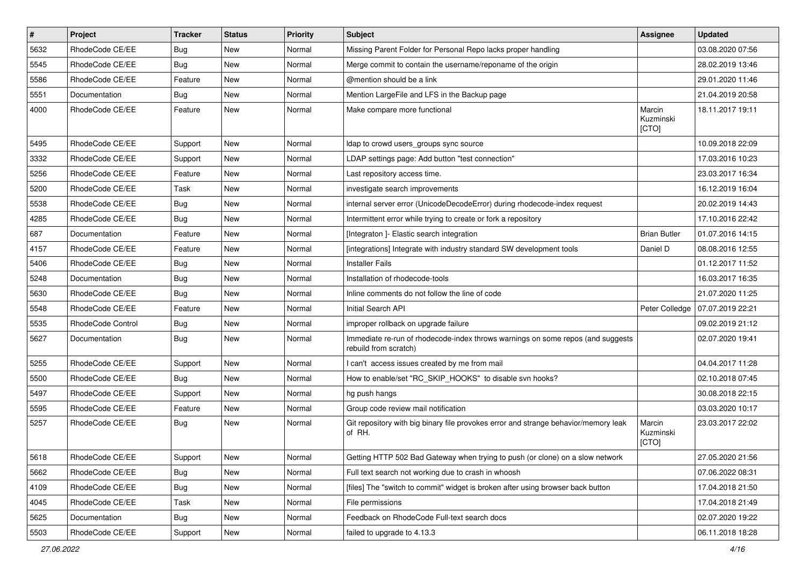| $\vert$ # | Project                  | <b>Tracker</b> | <b>Status</b> | <b>Priority</b> | <b>Subject</b>                                                                                           | <b>Assignee</b>              | <b>Updated</b>   |
|-----------|--------------------------|----------------|---------------|-----------------|----------------------------------------------------------------------------------------------------------|------------------------------|------------------|
| 5632      | RhodeCode CE/EE          | <b>Bug</b>     | New           | Normal          | Missing Parent Folder for Personal Repo lacks proper handling                                            |                              | 03.08.2020 07:56 |
| 5545      | RhodeCode CE/EE          | Bug            | <b>New</b>    | Normal          | Merge commit to contain the username/reponame of the origin                                              |                              | 28.02.2019 13:46 |
| 5586      | RhodeCode CE/EE          | Feature        | New           | Normal          | @mention should be a link                                                                                |                              | 29.01.2020 11:46 |
| 5551      | Documentation            | Bug            | New           | Normal          | Mention LargeFile and LFS in the Backup page                                                             |                              | 21.04.2019 20:58 |
| 4000      | RhodeCode CE/EE          | Feature        | <b>New</b>    | Normal          | Make compare more functional                                                                             | Marcin<br>Kuzminski<br>[CTO] | 18.11.2017 19:11 |
| 5495      | RhodeCode CE/EE          | Support        | <b>New</b>    | Normal          | Idap to crowd users groups sync source                                                                   |                              | 10.09.2018 22:09 |
| 3332      | RhodeCode CE/EE          | Support        | <b>New</b>    | Normal          | LDAP settings page: Add button "test connection"                                                         |                              | 17.03.2016 10:23 |
| 5256      | RhodeCode CE/EE          | Feature        | <b>New</b>    | Normal          | Last repository access time.                                                                             |                              | 23.03.2017 16:34 |
| 5200      | RhodeCode CE/EE          | Task           | New           | Normal          | investigate search improvements                                                                          |                              | 16.12.2019 16:04 |
| 5538      | RhodeCode CE/EE          | Bug            | New           | Normal          | internal server error (UnicodeDecodeError) during rhodecode-index request                                |                              | 20.02.2019 14:43 |
| 4285      | RhodeCode CE/EE          | Bug            | <b>New</b>    | Normal          | Intermittent error while trying to create or fork a repository                                           |                              | 17.10.2016 22:42 |
| 687       | Documentation            | Feature        | New           | Normal          | [Integraton ]- Elastic search integration                                                                | <b>Brian Butler</b>          | 01.07.2016 14:15 |
| 4157      | RhodeCode CE/EE          | Feature        | New           | Normal          | [integrations] Integrate with industry standard SW development tools                                     | Daniel D                     | 08.08.2016 12:55 |
| 5406      | RhodeCode CE/EE          | Bug            | New           | Normal          | <b>Installer Fails</b>                                                                                   |                              | 01.12.2017 11:52 |
| 5248      | Documentation            | Bug            | New           | Normal          | Installation of rhodecode-tools                                                                          |                              | 16.03.2017 16:35 |
| 5630      | RhodeCode CE/EE          | Bug            | <b>New</b>    | Normal          | Inline comments do not follow the line of code                                                           |                              | 21.07.2020 11:25 |
| 5548      | RhodeCode CE/EE          | Feature        | New           | Normal          | Initial Search API                                                                                       | Peter Colledge               | 07.07.2019 22:21 |
| 5535      | <b>RhodeCode Control</b> | Bug            | <b>New</b>    | Normal          | improper rollback on upgrade failure                                                                     |                              | 09.02.2019 21:12 |
| 5627      | Documentation            | Bug            | New           | Normal          | Immediate re-run of rhodecode-index throws warnings on some repos (and suggests<br>rebuild from scratch) |                              | 02.07.2020 19:41 |
| 5255      | RhodeCode CE/EE          | Support        | New           | Normal          | I can't access issues created by me from mail                                                            |                              | 04.04.2017 11:28 |
| 5500      | RhodeCode CE/EE          | Bug            | New           | Normal          | How to enable/set "RC_SKIP_HOOKS" to disable svn hooks?                                                  |                              | 02.10.2018 07:45 |
| 5497      | RhodeCode CE/EE          | Support        | New           | Normal          | hg push hangs                                                                                            |                              | 30.08.2018 22:15 |
| 5595      | RhodeCode CE/EE          | Feature        | <b>New</b>    | Normal          | Group code review mail notification                                                                      |                              | 03.03.2020 10:17 |
| 5257      | RhodeCode CE/EE          | Bug            | New           | Normal          | Git repository with big binary file provokes error and strange behavior/memory leak<br>of RH.            | Marcin<br>Kuzminski<br>[CTO] | 23.03.2017 22:02 |
| 5618      | RhodeCode CE/EE          | Support        | New           | Normal          | Getting HTTP 502 Bad Gateway when trying to push (or clone) on a slow network                            |                              | 27.05.2020 21:56 |
| 5662      | RhodeCode CE/EE          | Bug            | <b>New</b>    | Normal          | Full text search not working due to crash in whoosh                                                      |                              | 07.06.2022 08:31 |
| 4109      | RhodeCode CE/EE          | <b>Bug</b>     | New           | Normal          | [files] The "switch to commit" widget is broken after using browser back button                          |                              | 17.04.2018 21:50 |
| 4045      | RhodeCode CE/EE          | Task           | New           | Normal          | File permissions                                                                                         |                              | 17.04.2018 21:49 |
| 5625      | Documentation            | <b>Bug</b>     | New           | Normal          | Feedback on RhodeCode Full-text search docs                                                              |                              | 02.07.2020 19:22 |
| 5503      | RhodeCode CE/EE          | Support        | New           | Normal          | failed to upgrade to 4.13.3                                                                              |                              | 06.11.2018 18:28 |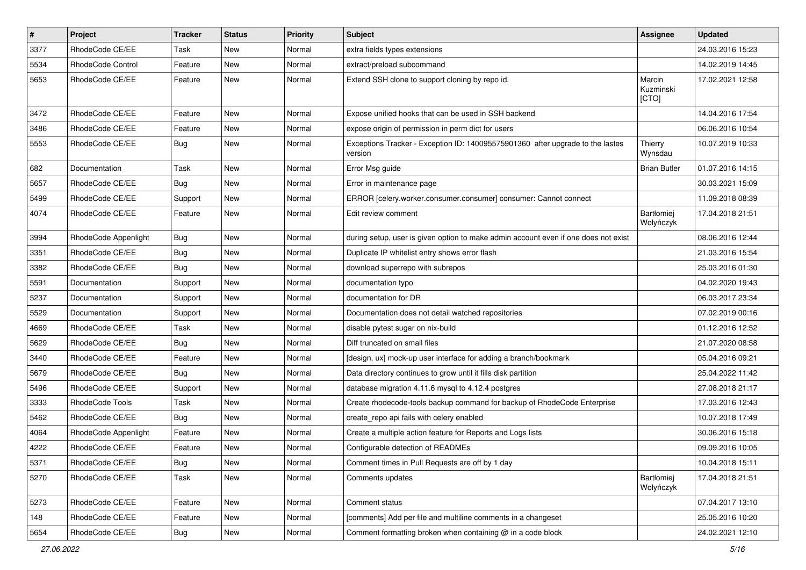| $\vert$ # | Project              | <b>Tracker</b> | <b>Status</b> | <b>Priority</b> | Subject                                                                                   | Assignee                     | <b>Updated</b>   |
|-----------|----------------------|----------------|---------------|-----------------|-------------------------------------------------------------------------------------------|------------------------------|------------------|
| 3377      | RhodeCode CE/EE      | Task           | New           | Normal          | extra fields types extensions                                                             |                              | 24.03.2016 15:23 |
| 5534      | RhodeCode Control    | Feature        | <b>New</b>    | Normal          | extract/preload subcommand                                                                |                              | 14.02.2019 14:45 |
| 5653      | RhodeCode CE/EE      | Feature        | <b>New</b>    | Normal          | Extend SSH clone to support cloning by repo id.                                           | Marcin<br>Kuzminski<br>[CTO] | 17.02.2021 12:58 |
| 3472      | RhodeCode CE/EE      | Feature        | <b>New</b>    | Normal          | Expose unified hooks that can be used in SSH backend                                      |                              | 14.04.2016 17:54 |
| 3486      | RhodeCode CE/EE      | Feature        | New           | Normal          | expose origin of permission in perm dict for users                                        |                              | 06.06.2016 10:54 |
| 5553      | RhodeCode CE/EE      | Bug            | New           | Normal          | Exceptions Tracker - Exception ID: 140095575901360 after upgrade to the lastes<br>version | Thierry<br>Wynsdau           | 10.07.2019 10:33 |
| 682       | Documentation        | Task           | <b>New</b>    | Normal          | Error Msg guide                                                                           | <b>Brian Butler</b>          | 01.07.2016 14:15 |
| 5657      | RhodeCode CE/EE      | <b>Bug</b>     | New           | Normal          | Error in maintenance page                                                                 |                              | 30.03.2021 15:09 |
| 5499      | RhodeCode CE/EE      | Support        | New           | Normal          | ERROR [celery.worker.consumer.consumer] consumer: Cannot connect                          |                              | 11.09.2018 08:39 |
| 4074      | RhodeCode CE/EE      | Feature        | <b>New</b>    | Normal          | Edit review comment                                                                       | Bartłomiej<br>Wołyńczyk      | 17.04.2018 21:51 |
| 3994      | RhodeCode Appenlight | <b>Bug</b>     | New           | Normal          | during setup, user is given option to make admin account even if one does not exist       |                              | 08.06.2016 12:44 |
| 3351      | RhodeCode CE/EE      | <b>Bug</b>     | New           | Normal          | Duplicate IP whitelist entry shows error flash                                            |                              | 21.03.2016 15:54 |
| 3382      | RhodeCode CE/EE      | <b>Bug</b>     | New           | Normal          | download superrepo with subrepos                                                          |                              | 25.03.2016 01:30 |
| 5591      | Documentation        | Support        | <b>New</b>    | Normal          | documentation typo                                                                        |                              | 04.02.2020 19:43 |
| 5237      | Documentation        | Support        | New           | Normal          | documentation for DR                                                                      |                              | 06.03.2017 23:34 |
| 5529      | Documentation        | Support        | New           | Normal          | Documentation does not detail watched repositories                                        |                              | 07.02.2019 00:16 |
| 4669      | RhodeCode CE/EE      | Task           | New           | Normal          | disable pytest sugar on nix-build                                                         |                              | 01.12.2016 12:52 |
| 5629      | RhodeCode CE/EE      | Bug            | New           | Normal          | Diff truncated on small files                                                             |                              | 21.07.2020 08:58 |
| 3440      | RhodeCode CE/EE      | Feature        | New           | Normal          | [design, ux] mock-up user interface for adding a branch/bookmark                          |                              | 05.04.2016 09:21 |
| 5679      | RhodeCode CE/EE      | Bug            | New           | Normal          | Data directory continues to grow until it fills disk partition                            |                              | 25.04.2022 11:42 |
| 5496      | RhodeCode CE/EE      | Support        | <b>New</b>    | Normal          | database migration 4.11.6 mysql to 4.12.4 postgres                                        |                              | 27.08.2018 21:17 |
| 3333      | RhodeCode Tools      | Task           | <b>New</b>    | Normal          | Create rhodecode-tools backup command for backup of RhodeCode Enterprise                  |                              | 17.03.2016 12:43 |
| 5462      | RhodeCode CE/EE      | Bug            | New           | Normal          | create_repo api fails with celery enabled                                                 |                              | 10.07.2018 17:49 |
| 4064      | RhodeCode Appenlight | Feature        | New           | Normal          | Create a multiple action feature for Reports and Logs lists                               |                              | 30.06.2016 15:18 |
| 4222      | RhodeCode CE/EE      | Feature        | New           | Normal          | Configurable detection of READMEs                                                         |                              | 09.09.2016 10:05 |
| 5371      | RhodeCode CE/EE      | Bug            | New           | Normal          | Comment times in Pull Requests are off by 1 day                                           |                              | 10.04.2018 15:11 |
| 5270      | RhodeCode CE/EE      | Task           | New           | Normal          | Comments updates                                                                          | Bartłomiej<br>Wołyńczyk      | 17.04.2018 21:51 |
| 5273      | RhodeCode CE/EE      | Feature        | <b>New</b>    | Normal          | Comment status                                                                            |                              | 07.04.2017 13:10 |
| 148       | RhodeCode CE/EE      | Feature        | New           | Normal          | [comments] Add per file and multiline comments in a changeset                             |                              | 25.05.2016 10:20 |
| 5654      | RhodeCode CE/EE      | <b>Bug</b>     | New           | Normal          | Comment formatting broken when containing @ in a code block                               |                              | 24.02.2021 12:10 |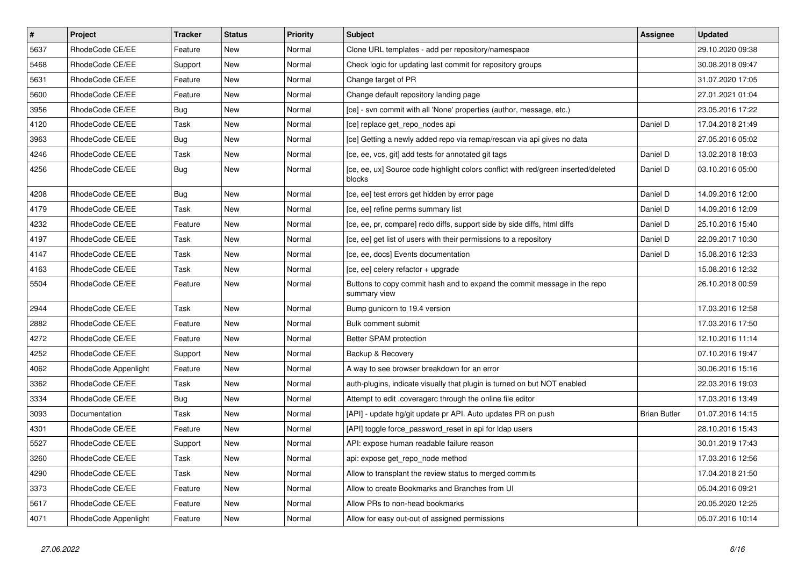| $\sharp$ | Project              | <b>Tracker</b> | <b>Status</b> | <b>Priority</b> | <b>Subject</b>                                                                               | Assignee            | <b>Updated</b>   |
|----------|----------------------|----------------|---------------|-----------------|----------------------------------------------------------------------------------------------|---------------------|------------------|
| 5637     | RhodeCode CE/EE      | Feature        | New           | Normal          | Clone URL templates - add per repository/namespace                                           |                     | 29.10.2020 09:38 |
| 5468     | RhodeCode CE/EE      | Support        | <b>New</b>    | Normal          | Check logic for updating last commit for repository groups                                   |                     | 30.08.2018 09:47 |
| 5631     | RhodeCode CE/EE      | Feature        | New           | Normal          | Change target of PR                                                                          |                     | 31.07.2020 17:05 |
| 5600     | RhodeCode CE/EE      | Feature        | <b>New</b>    | Normal          | Change default repository landing page                                                       |                     | 27.01.2021 01:04 |
| 3956     | RhodeCode CE/EE      | Bug            | New           | Normal          | [ce] - svn commit with all 'None' properties (author, message, etc.)                         |                     | 23.05.2016 17:22 |
| 4120     | RhodeCode CE/EE      | Task           | <b>New</b>    | Normal          | [ce] replace get repo nodes api                                                              | Daniel D            | 17.04.2018 21:49 |
| 3963     | RhodeCode CE/EE      | Bug            | New           | Normal          | [ce] Getting a newly added repo via remap/rescan via api gives no data                       |                     | 27.05.2016 05:02 |
| 4246     | RhodeCode CE/EE      | Task           | New           | Normal          | [ce, ee, vcs, git] add tests for annotated git tags                                          | Daniel D            | 13.02.2018 18:03 |
| 4256     | RhodeCode CE/EE      | Bug            | New           | Normal          | [ce, ee, ux] Source code highlight colors conflict with red/green inserted/deleted<br>blocks | Daniel D            | 03.10.2016 05:00 |
| 4208     | RhodeCode CE/EE      | <b>Bug</b>     | New           | Normal          | [ce, ee] test errors get hidden by error page                                                | Daniel D            | 14.09.2016 12:00 |
| 4179     | RhodeCode CE/EE      | Task           | New           | Normal          | [ce, ee] refine perms summary list                                                           | Daniel D            | 14.09.2016 12:09 |
| 4232     | RhodeCode CE/EE      | Feature        | New           | Normal          | [ce, ee, pr, compare] redo diffs, support side by side diffs, html diffs                     | Daniel D            | 25.10.2016 15:40 |
| 4197     | RhodeCode CE/EE      | Task           | New           | Normal          | [ce, ee] get list of users with their permissions to a repository                            | Daniel D            | 22.09.2017 10:30 |
| 4147     | RhodeCode CE/EE      | Task           | New           | Normal          | [ce, ee, docs] Events documentation                                                          | Daniel D            | 15.08.2016 12:33 |
| 4163     | RhodeCode CE/EE      | Task           | New           | Normal          | [ce, ee] celery refactor + upgrade                                                           |                     | 15.08.2016 12:32 |
| 5504     | RhodeCode CE/EE      | Feature        | New           | Normal          | Buttons to copy commit hash and to expand the commit message in the repo<br>summary view     |                     | 26.10.2018 00:59 |
| 2944     | RhodeCode CE/EE      | Task           | <b>New</b>    | Normal          | Bump gunicorn to 19.4 version                                                                |                     | 17.03.2016 12:58 |
| 2882     | RhodeCode CE/EE      | Feature        | New           | Normal          | Bulk comment submit                                                                          |                     | 17.03.2016 17:50 |
| 4272     | RhodeCode CE/EE      | Feature        | <b>New</b>    | Normal          | Better SPAM protection                                                                       |                     | 12.10.2016 11:14 |
| 4252     | RhodeCode CE/EE      | Support        | New           | Normal          | Backup & Recovery                                                                            |                     | 07.10.2016 19:47 |
| 4062     | RhodeCode Appenlight | Feature        | <b>New</b>    | Normal          | A way to see browser breakdown for an error                                                  |                     | 30.06.2016 15:16 |
| 3362     | RhodeCode CE/EE      | Task           | <b>New</b>    | Normal          | auth-plugins, indicate visually that plugin is turned on but NOT enabled                     |                     | 22.03.2016 19:03 |
| 3334     | RhodeCode CE/EE      | Bug            | <b>New</b>    | Normal          | Attempt to edit .coveragerc through the online file editor                                   |                     | 17.03.2016 13:49 |
| 3093     | Documentation        | Task           | New           | Normal          | [API] - update hg/git update pr API. Auto updates PR on push                                 | <b>Brian Butler</b> | 01.07.2016 14:15 |
| 4301     | RhodeCode CE/EE      | Feature        | New           | Normal          | [API] toggle force password reset in api for Idap users                                      |                     | 28.10.2016 15:43 |
| 5527     | RhodeCode CE/EE      | Support        | New           | Normal          | API: expose human readable failure reason                                                    |                     | 30.01.2019 17:43 |
| 3260     | RhodeCode CE/EE      | Task           | New           | Normal          | api: expose get repo node method                                                             |                     | 17.03.2016 12:56 |
| 4290     | RhodeCode CE/EE      | Task           | New           | Normal          | Allow to transplant the review status to merged commits                                      |                     | 17.04.2018 21:50 |
| 3373     | RhodeCode CE/EE      | Feature        | New           | Normal          | Allow to create Bookmarks and Branches from UI                                               |                     | 05.04.2016 09:21 |
| 5617     | RhodeCode CE/EE      | Feature        | New           | Normal          | Allow PRs to non-head bookmarks                                                              |                     | 20.05.2020 12:25 |
| 4071     | RhodeCode Appenlight | Feature        | <b>New</b>    | Normal          | Allow for easy out-out of assigned permissions                                               |                     | 05.07.2016 10:14 |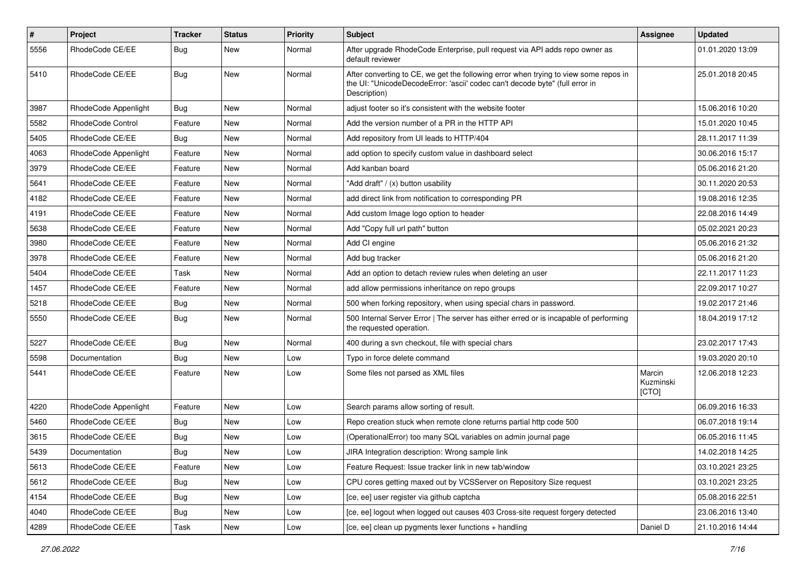| $\sharp$ | Project              | <b>Tracker</b> | <b>Status</b> | <b>Priority</b> | <b>Subject</b>                                                                                                                                                                       | <b>Assignee</b>              | <b>Updated</b>   |
|----------|----------------------|----------------|---------------|-----------------|--------------------------------------------------------------------------------------------------------------------------------------------------------------------------------------|------------------------------|------------------|
| 5556     | RhodeCode CE/EE      | Bug            | New           | Normal          | After upgrade RhodeCode Enterprise, pull request via API adds repo owner as<br>default reviewer                                                                                      |                              | 01.01.2020 13:09 |
| 5410     | RhodeCode CE/EE      | <b>Bug</b>     | New           | Normal          | After converting to CE, we get the following error when trying to view some repos in<br>the UI: "UnicodeDecodeError: 'ascii' codec can't decode byte" (full error in<br>Description) |                              | 25.01.2018 20:45 |
| 3987     | RhodeCode Appenlight | Bug            | New           | Normal          | adjust footer so it's consistent with the website footer                                                                                                                             |                              | 15.06.2016 10:20 |
| 5582     | RhodeCode Control    | Feature        | New           | Normal          | Add the version number of a PR in the HTTP API                                                                                                                                       |                              | 15.01.2020 10:45 |
| 5405     | RhodeCode CE/EE      | Bug            | <b>New</b>    | Normal          | Add repository from UI leads to HTTP/404                                                                                                                                             |                              | 28.11.2017 11:39 |
| 4063     | RhodeCode Appenlight | Feature        | New           | Normal          | add option to specify custom value in dashboard select                                                                                                                               |                              | 30.06.2016 15:17 |
| 3979     | RhodeCode CE/EE      | Feature        | <b>New</b>    | Normal          | Add kanban board                                                                                                                                                                     |                              | 05.06.2016 21:20 |
| 5641     | RhodeCode CE/EE      | Feature        | New           | Normal          | "Add draft" / (x) button usability                                                                                                                                                   |                              | 30.11.2020 20:53 |
| 4182     | RhodeCode CE/EE      | Feature        | New           | Normal          | add direct link from notification to corresponding PR                                                                                                                                |                              | 19.08.2016 12:35 |
| 4191     | RhodeCode CE/EE      | Feature        | <b>New</b>    | Normal          | Add custom Image logo option to header                                                                                                                                               |                              | 22.08.2016 14:49 |
| 5638     | RhodeCode CE/EE      | Feature        | New           | Normal          | Add "Copy full url path" button                                                                                                                                                      |                              | 05.02.2021 20:23 |
| 3980     | RhodeCode CE/EE      | Feature        | New           | Normal          | Add CI engine                                                                                                                                                                        |                              | 05.06.2016 21:32 |
| 3978     | RhodeCode CE/EE      | Feature        | New           | Normal          | Add bug tracker                                                                                                                                                                      |                              | 05.06.2016 21:20 |
| 5404     | RhodeCode CE/EE      | Task           | New           | Normal          | Add an option to detach review rules when deleting an user                                                                                                                           |                              | 22.11.2017 11:23 |
| 1457     | RhodeCode CE/EE      | Feature        | New           | Normal          | add allow permissions inheritance on repo groups                                                                                                                                     |                              | 22.09.2017 10:27 |
| 5218     | RhodeCode CE/EE      | Bug            | New           | Normal          | 500 when forking repository, when using special chars in password.                                                                                                                   |                              | 19.02.2017 21:46 |
| 5550     | RhodeCode CE/EE      | Bug            | New           | Normal          | 500 Internal Server Error   The server has either erred or is incapable of performing<br>the requested operation.                                                                    |                              | 18.04.2019 17:12 |
| 5227     | RhodeCode CE/EE      | Bug            | New           | Normal          | 400 during a svn checkout, file with special chars                                                                                                                                   |                              | 23.02.2017 17:43 |
| 5598     | Documentation        | Bug            | New           | Low             | Typo in force delete command                                                                                                                                                         |                              | 19.03.2020 20:10 |
| 5441     | RhodeCode CE/EE      | Feature        | New           | Low             | Some files not parsed as XML files                                                                                                                                                   | Marcin<br>Kuzminski<br>[CTO] | 12.06.2018 12:23 |
| 4220     | RhodeCode Appenlight | Feature        | New           | Low             | Search params allow sorting of result.                                                                                                                                               |                              | 06.09.2016 16:33 |
| 5460     | RhodeCode CE/EE      | Bug            | New           | Low             | Repo creation stuck when remote clone returns partial http code 500                                                                                                                  |                              | 06.07.2018 19:14 |
| 3615     | RhodeCode CE/EE      | Bug            | New           | Low             | (OperationalError) too many SQL variables on admin journal page                                                                                                                      |                              | 06.05.2016 11:45 |
| 5439     | Documentation        | Bug            | New           | Low             | JIRA Integration description: Wrong sample link                                                                                                                                      |                              | 14.02.2018 14:25 |
| 5613     | RhodeCode CE/EE      | Feature        | <b>New</b>    | Low             | Feature Request: Issue tracker link in new tab/window                                                                                                                                |                              | 03.10.2021 23:25 |
| 5612     | RhodeCode CE/EE      | <b>Bug</b>     | New           | Low             | CPU cores getting maxed out by VCSServer on Repository Size request                                                                                                                  |                              | 03.10.2021 23:25 |
| 4154     | RhodeCode CE/EE      | <b>Bug</b>     | New           | Low             | [ce, ee] user register via github captcha                                                                                                                                            |                              | 05.08.2016 22:51 |
| 4040     | RhodeCode CE/EE      | Bug            | New           | Low             | [ce, ee] logout when logged out causes 403 Cross-site request forgery detected                                                                                                       |                              | 23.06.2016 13:40 |
| 4289     | RhodeCode CE/EE      | Task           | New           | Low             | [ce, ee] clean up pygments lexer functions + handling                                                                                                                                | Daniel D                     | 21.10.2016 14:44 |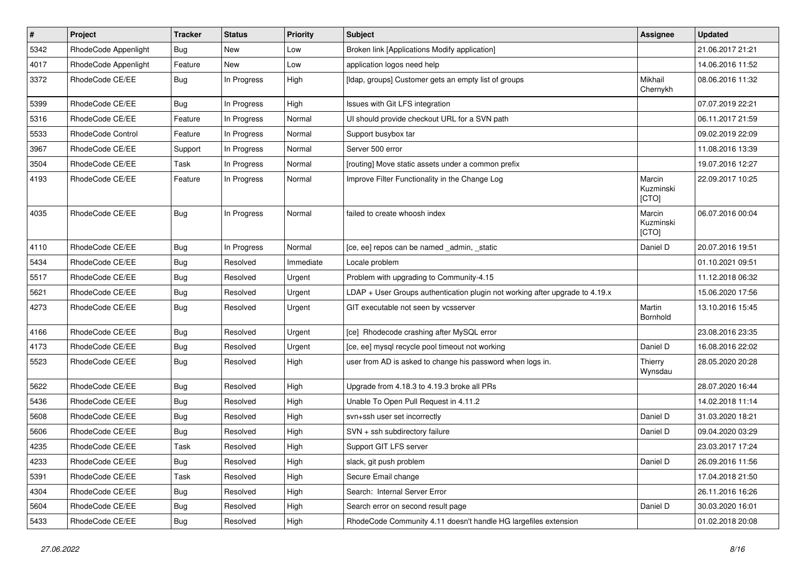| $\pmb{\#}$ | Project              | <b>Tracker</b> | <b>Status</b> | <b>Priority</b> | Subject                                                                      | <b>Assignee</b>              | <b>Updated</b>   |
|------------|----------------------|----------------|---------------|-----------------|------------------------------------------------------------------------------|------------------------------|------------------|
| 5342       | RhodeCode Appenlight | Bug            | New           | Low             | Broken link [Applications Modify application]                                |                              | 21.06.2017 21:21 |
| 4017       | RhodeCode Appenlight | Feature        | <b>New</b>    | Low             | application logos need help                                                  |                              | 14.06.2016 11:52 |
| 3372       | RhodeCode CE/EE      | <b>Bug</b>     | In Progress   | High            | [Idap, groups] Customer gets an empty list of groups                         | Mikhail<br>Chernykh          | 08.06.2016 11:32 |
| 5399       | RhodeCode CE/EE      | Bug            | In Progress   | High            | Issues with Git LFS integration                                              |                              | 07.07.2019 22:21 |
| 5316       | RhodeCode CE/EE      | Feature        | In Progress   | Normal          | UI should provide checkout URL for a SVN path                                |                              | 06.11.2017 21:59 |
| 5533       | RhodeCode Control    | Feature        | In Progress   | Normal          | Support busybox tar                                                          |                              | 09.02.2019 22:09 |
| 3967       | RhodeCode CE/EE      | Support        | In Progress   | Normal          | Server 500 error                                                             |                              | 11.08.2016 13:39 |
| 3504       | RhodeCode CE/EE      | Task           | In Progress   | Normal          | [routing] Move static assets under a common prefix                           |                              | 19.07.2016 12:27 |
| 4193       | RhodeCode CE/EE      | Feature        | In Progress   | Normal          | Improve Filter Functionality in the Change Log                               | Marcin<br>Kuzminski<br>[CTO] | 22.09.2017 10:25 |
| 4035       | RhodeCode CE/EE      | <b>Bug</b>     | In Progress   | Normal          | failed to create whoosh index                                                | Marcin<br>Kuzminski<br>[CTO] | 06.07.2016 00:04 |
| 4110       | RhodeCode CE/EE      | Bug            | In Progress   | Normal          | [ce, ee] repos can be named _admin, _static                                  | Daniel D                     | 20.07.2016 19:51 |
| 5434       | RhodeCode CE/EE      | Bug            | Resolved      | Immediate       | Locale problem                                                               |                              | 01.10.2021 09:51 |
| 5517       | RhodeCode CE/EE      | Bug            | Resolved      | Urgent          | Problem with upgrading to Community-4.15                                     |                              | 11.12.2018 06:32 |
| 5621       | RhodeCode CE/EE      | Bug            | Resolved      | Urgent          | LDAP + User Groups authentication plugin not working after upgrade to 4.19.x |                              | 15.06.2020 17:56 |
| 4273       | RhodeCode CE/EE      | <b>Bug</b>     | Resolved      | Urgent          | GIT executable not seen by vcsserver                                         | Martin<br>Bornhold           | 13.10.2016 15:45 |
| 4166       | RhodeCode CE/EE      | Bug            | Resolved      | Urgent          | [ce] Rhodecode crashing after MySQL error                                    |                              | 23.08.2016 23:35 |
| 4173       | RhodeCode CE/EE      | <b>Bug</b>     | Resolved      | Urgent          | [ce, ee] mysql recycle pool timeout not working                              | Daniel D                     | 16.08.2016 22:02 |
| 5523       | RhodeCode CE/EE      | Bug            | Resolved      | High            | user from AD is asked to change his password when logs in.                   | Thierry<br>Wynsdau           | 28.05.2020 20:28 |
| 5622       | RhodeCode CE/EE      | Bug            | Resolved      | High            | Upgrade from 4.18.3 to 4.19.3 broke all PRs                                  |                              | 28.07.2020 16:44 |
| 5436       | RhodeCode CE/EE      | Bug            | Resolved      | High            | Unable To Open Pull Request in 4.11.2                                        |                              | 14.02.2018 11:14 |
| 5608       | RhodeCode CE/EE      | Bug            | Resolved      | High            | svn+ssh user set incorrectly                                                 | Daniel D                     | 31.03.2020 18:21 |
| 5606       | RhodeCode CE/EE      | <b>Bug</b>     | Resolved      | High            | SVN + ssh subdirectory failure                                               | Daniel D                     | 09.04.2020 03:29 |
| 4235       | RhodeCode CE/EE      | Task           | Resolved      | High            | Support GIT LFS server                                                       |                              | 23.03.2017 17:24 |
| 4233       | RhodeCode CE/EE      | <b>Bug</b>     | Resolved      | High            | slack, git push problem                                                      | Daniel D                     | 26.09.2016 11:56 |
| 5391       | RhodeCode CE/EE      | Task           | Resolved      | High            | Secure Email change                                                          |                              | 17.04.2018 21:50 |
| 4304       | RhodeCode CE/EE      | <b>Bug</b>     | Resolved      | High            | Search: Internal Server Error                                                |                              | 26.11.2016 16:26 |
| 5604       | RhodeCode CE/EE      | <b>Bug</b>     | Resolved      | High            | Search error on second result page                                           | Daniel D                     | 30.03.2020 16:01 |
| 5433       | RhodeCode CE/EE      | Bug            | Resolved      | High            | RhodeCode Community 4.11 doesn't handle HG largefiles extension              |                              | 01.02.2018 20:08 |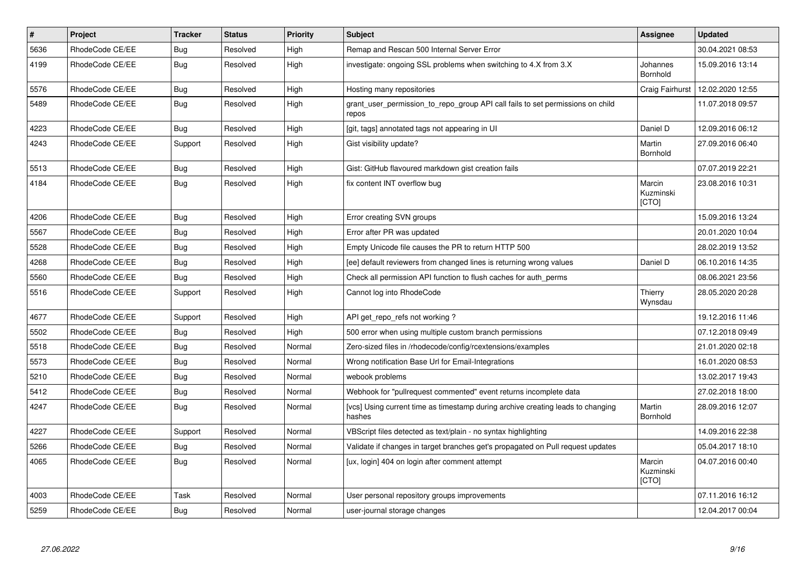| $\pmb{\#}$ | Project         | <b>Tracker</b> | <b>Status</b> | <b>Priority</b> | <b>Subject</b>                                                                            | Assignee                     | <b>Updated</b>   |
|------------|-----------------|----------------|---------------|-----------------|-------------------------------------------------------------------------------------------|------------------------------|------------------|
| 5636       | RhodeCode CE/EE | Bug            | Resolved      | High            | Remap and Rescan 500 Internal Server Error                                                |                              | 30.04.2021 08:53 |
| 4199       | RhodeCode CE/EE | Bug            | Resolved      | High            | investigate: ongoing SSL problems when switching to 4.X from 3.X                          | Johannes<br>Bornhold         | 15.09.2016 13:14 |
| 5576       | RhodeCode CE/EE | <b>Bug</b>     | Resolved      | High            | Hosting many repositories                                                                 | Craig Fairhurst              | 12.02.2020 12:55 |
| 5489       | RhodeCode CE/EE | Bug            | Resolved      | High            | grant user permission to repo group API call fails to set permissions on child<br>repos   |                              | 11.07.2018 09:57 |
| 4223       | RhodeCode CE/EE | Bug            | Resolved      | High            | [git, tags] annotated tags not appearing in UI                                            | Daniel D                     | 12.09.2016 06:12 |
| 4243       | RhodeCode CE/EE | Support        | Resolved      | High            | Gist visibility update?                                                                   | Martin<br>Bornhold           | 27.09.2016 06:40 |
| 5513       | RhodeCode CE/EE | <b>Bug</b>     | Resolved      | High            | Gist: GitHub flavoured markdown gist creation fails                                       |                              | 07.07.2019 22:21 |
| 4184       | RhodeCode CE/EE | Bug            | Resolved      | High            | fix content INT overflow bug                                                              | Marcin<br>Kuzminski<br>[CTO] | 23.08.2016 10:31 |
| 4206       | RhodeCode CE/EE | <b>Bug</b>     | Resolved      | High            | Error creating SVN groups                                                                 |                              | 15.09.2016 13:24 |
| 5567       | RhodeCode CE/EE | Bug            | Resolved      | High            | Error after PR was updated                                                                |                              | 20.01.2020 10:04 |
| 5528       | RhodeCode CE/EE | Bug            | Resolved      | High            | Empty Unicode file causes the PR to return HTTP 500                                       |                              | 28.02.2019 13:52 |
| 4268       | RhodeCode CE/EE | Bug            | Resolved      | High            | [ee] default reviewers from changed lines is returning wrong values                       | Daniel D                     | 06.10.2016 14:35 |
| 5560       | RhodeCode CE/EE | Bug            | Resolved      | High            | Check all permission API function to flush caches for auth_perms                          |                              | 08.06.2021 23:56 |
| 5516       | RhodeCode CE/EE | Support        | Resolved      | High            | Cannot log into RhodeCode                                                                 | Thierry<br>Wynsdau           | 28.05.2020 20:28 |
| 4677       | RhodeCode CE/EE | Support        | Resolved      | High            | API get repo refs not working?                                                            |                              | 19.12.2016 11:46 |
| 5502       | RhodeCode CE/EE | <b>Bug</b>     | Resolved      | High            | 500 error when using multiple custom branch permissions                                   |                              | 07.12.2018 09:49 |
| 5518       | RhodeCode CE/EE | Bug            | Resolved      | Normal          | Zero-sized files in /rhodecode/config/rcextensions/examples                               |                              | 21.01.2020 02:18 |
| 5573       | RhodeCode CE/EE | <b>Bug</b>     | Resolved      | Normal          | Wrong notification Base Url for Email-Integrations                                        |                              | 16.01.2020 08:53 |
| 5210       | RhodeCode CE/EE | Bug            | Resolved      | Normal          | webook problems                                                                           |                              | 13.02.2017 19:43 |
| 5412       | RhodeCode CE/EE | Bug            | Resolved      | Normal          | Webhook for "pullrequest commented" event returns incomplete data                         |                              | 27.02.2018 18:00 |
| 4247       | RhodeCode CE/EE | <b>Bug</b>     | Resolved      | Normal          | [vcs] Using current time as timestamp during archive creating leads to changing<br>hashes | Martin<br>Bornhold           | 28.09.2016 12:07 |
| 4227       | RhodeCode CE/EE | Support        | Resolved      | Normal          | VBScript files detected as text/plain - no syntax highlighting                            |                              | 14.09.2016 22:38 |
| 5266       | RhodeCode CE/EE | Bug            | Resolved      | Normal          | Validate if changes in target branches get's propagated on Pull request updates           |                              | 05.04.2017 18:10 |
| 4065       | RhodeCode CE/EE | <b>Bug</b>     | Resolved      | Normal          | [ux, login] 404 on login after comment attempt                                            | Marcin<br>Kuzminski<br>[CTO] | 04.07.2016 00:40 |
| 4003       | RhodeCode CE/EE | Task           | Resolved      | Normal          | User personal repository groups improvements                                              |                              | 07.11.2016 16:12 |
| 5259       | RhodeCode CE/EE | Bug            | Resolved      | Normal          | user-journal storage changes                                                              |                              | 12.04.2017 00:04 |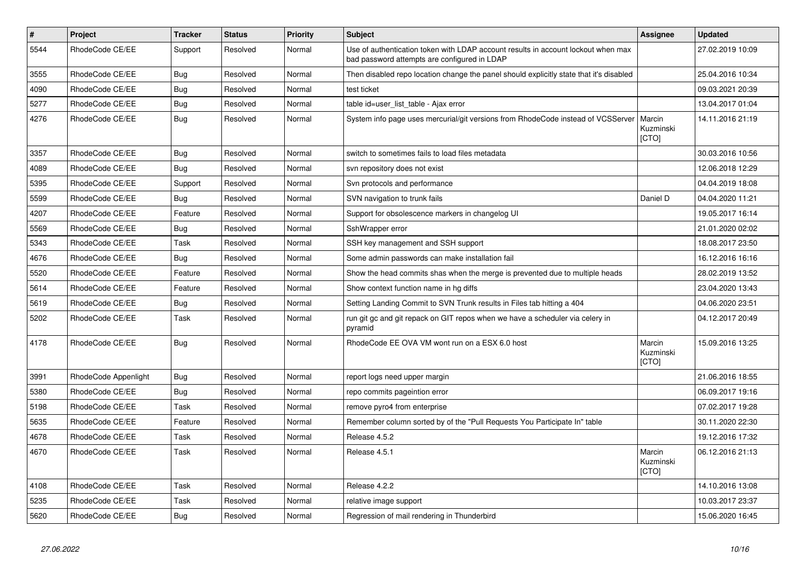| $\vert$ # | <b>Project</b>       | <b>Tracker</b> | <b>Status</b> | Priority | <b>Subject</b>                                                                                                                    | <b>Assignee</b>              | <b>Updated</b>   |
|-----------|----------------------|----------------|---------------|----------|-----------------------------------------------------------------------------------------------------------------------------------|------------------------------|------------------|
| 5544      | RhodeCode CE/EE      | Support        | Resolved      | Normal   | Use of authentication token with LDAP account results in account lockout when max<br>bad password attempts are configured in LDAP |                              | 27.02.2019 10:09 |
| 3555      | RhodeCode CE/EE      | Bug            | Resolved      | Normal   | Then disabled repo location change the panel should explicitly state that it's disabled                                           |                              | 25.04.2016 10:34 |
| 4090      | RhodeCode CE/EE      | Bug            | Resolved      | Normal   | test ticket                                                                                                                       |                              | 09.03.2021 20:39 |
| 5277      | RhodeCode CE/EE      | Bug            | Resolved      | Normal   | table id=user_list_table - Ajax error                                                                                             |                              | 13.04.2017 01:04 |
| 4276      | RhodeCode CE/EE      | <b>Bug</b>     | Resolved      | Normal   | System info page uses mercurial/git versions from RhodeCode instead of VCSServer                                                  | Marcin<br>Kuzminski<br>[CTO] | 14.11.2016 21:19 |
| 3357      | RhodeCode CE/EE      | Bug            | Resolved      | Normal   | switch to sometimes fails to load files metadata                                                                                  |                              | 30.03.2016 10:56 |
| 4089      | RhodeCode CE/EE      | Bug            | Resolved      | Normal   | svn repository does not exist                                                                                                     |                              | 12.06.2018 12:29 |
| 5395      | RhodeCode CE/EE      | Support        | Resolved      | Normal   | Svn protocols and performance                                                                                                     |                              | 04.04.2019 18:08 |
| 5599      | RhodeCode CE/EE      | Bug            | Resolved      | Normal   | SVN navigation to trunk fails                                                                                                     | Daniel D                     | 04.04.2020 11:21 |
| 4207      | RhodeCode CE/EE      | Feature        | Resolved      | Normal   | Support for obsolescence markers in changelog UI                                                                                  |                              | 19.05.2017 16:14 |
| 5569      | RhodeCode CE/EE      | Bug            | Resolved      | Normal   | SshWrapper error                                                                                                                  |                              | 21.01.2020 02:02 |
| 5343      | RhodeCode CE/EE      | Task           | Resolved      | Normal   | SSH key management and SSH support                                                                                                |                              | 18.08.2017 23:50 |
| 4676      | RhodeCode CE/EE      | Bug            | Resolved      | Normal   | Some admin passwords can make installation fail                                                                                   |                              | 16.12.2016 16:16 |
| 5520      | RhodeCode CE/EE      | Feature        | Resolved      | Normal   | Show the head commits shas when the merge is prevented due to multiple heads                                                      |                              | 28.02.2019 13:52 |
| 5614      | RhodeCode CE/EE      | Feature        | Resolved      | Normal   | Show context function name in hg diffs                                                                                            |                              | 23.04.2020 13:43 |
| 5619      | RhodeCode CE/EE      | <b>Bug</b>     | Resolved      | Normal   | Setting Landing Commit to SVN Trunk results in Files tab hitting a 404                                                            |                              | 04.06.2020 23:51 |
| 5202      | RhodeCode CE/EE      | Task           | Resolved      | Normal   | run git gc and git repack on GIT repos when we have a scheduler via celery in<br>pyramid                                          |                              | 04.12.2017 20:49 |
| 4178      | RhodeCode CE/EE      | Bug            | Resolved      | Normal   | RhodeCode EE OVA VM wont run on a ESX 6.0 host                                                                                    | Marcin<br>Kuzminski<br>[CTO] | 15.09.2016 13:25 |
| 3991      | RhodeCode Appenlight | <b>Bug</b>     | Resolved      | Normal   | report logs need upper margin                                                                                                     |                              | 21.06.2016 18:55 |
| 5380      | RhodeCode CE/EE      | Bug            | Resolved      | Normal   | repo commits pageintion error                                                                                                     |                              | 06.09.2017 19:16 |
| 5198      | RhodeCode CE/EE      | Task           | Resolved      | Normal   | remove pyro4 from enterprise                                                                                                      |                              | 07.02.2017 19:28 |
| 5635      | RhodeCode CE/EE      | Feature        | Resolved      | Normal   | Remember column sorted by of the "Pull Requests You Participate In" table                                                         |                              | 30.11.2020 22:30 |
| 4678      | RhodeCode CE/EE      | Task           | Resolved      | Normal   | Release 4.5.2                                                                                                                     |                              | 19.12.2016 17:32 |
| 4670      | RhodeCode CE/EE      | Task           | Resolved      | Normal   | Release 4.5.1                                                                                                                     | Marcin<br>Kuzminski<br>[CTO] | 06.12.2016 21:13 |
| 4108      | RhodeCode CE/EE      | Task           | Resolved      | Normal   | Release 4.2.2                                                                                                                     |                              | 14.10.2016 13:08 |
| 5235      | RhodeCode CE/EE      | Task           | Resolved      | Normal   | relative image support                                                                                                            |                              | 10.03.2017 23:37 |
| 5620      | RhodeCode CE/EE      | <b>Bug</b>     | Resolved      | Normal   | Regression of mail rendering in Thunderbird                                                                                       |                              | 15.06.2020 16:45 |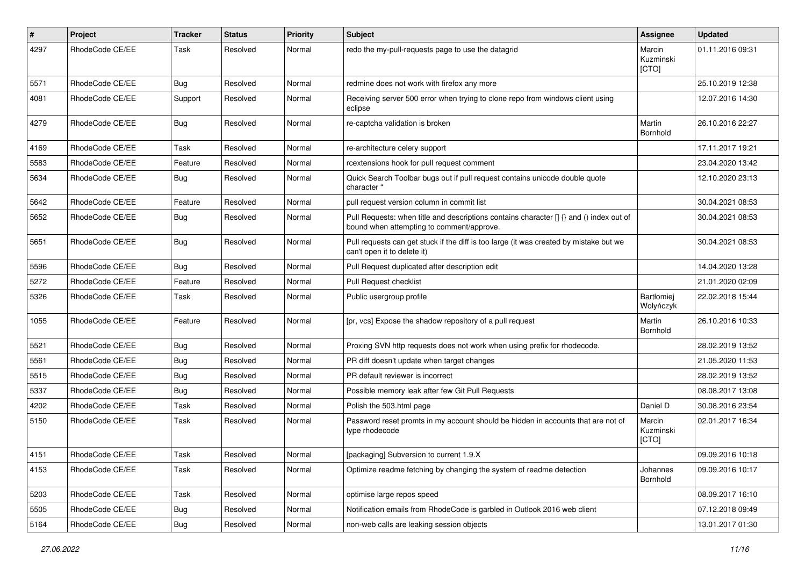| #    | Project         | <b>Tracker</b> | <b>Status</b> | <b>Priority</b> | <b>Subject</b>                                                                                                                       | Assignee                     | <b>Updated</b>   |
|------|-----------------|----------------|---------------|-----------------|--------------------------------------------------------------------------------------------------------------------------------------|------------------------------|------------------|
| 4297 | RhodeCode CE/EE | Task           | Resolved      | Normal          | redo the my-pull-requests page to use the datagrid                                                                                   | Marcin<br>Kuzminski<br>[CTO] | 01.11.2016 09:31 |
| 5571 | RhodeCode CE/EE | Bug            | Resolved      | Normal          | redmine does not work with firefox any more                                                                                          |                              | 25.10.2019 12:38 |
| 4081 | RhodeCode CE/EE | Support        | Resolved      | Normal          | Receiving server 500 error when trying to clone repo from windows client using<br>eclipse                                            |                              | 12.07.2016 14:30 |
| 4279 | RhodeCode CE/EE | Bug            | Resolved      | Normal          | re-captcha validation is broken                                                                                                      | Martin<br>Bornhold           | 26.10.2016 22:27 |
| 4169 | RhodeCode CE/EE | Task           | Resolved      | Normal          | re-architecture celery support                                                                                                       |                              | 17.11.2017 19:21 |
| 5583 | RhodeCode CE/EE | Feature        | Resolved      | Normal          | rcextensions hook for pull request comment                                                                                           |                              | 23.04.2020 13:42 |
| 5634 | RhodeCode CE/EE | Bug            | Resolved      | Normal          | Quick Search Toolbar bugs out if pull request contains unicode double quote<br>character "                                           |                              | 12.10.2020 23:13 |
| 5642 | RhodeCode CE/EE | Feature        | Resolved      | Normal          | pull request version column in commit list                                                                                           |                              | 30.04.2021 08:53 |
| 5652 | RhodeCode CE/EE | Bug            | Resolved      | Normal          | Pull Requests: when title and descriptions contains character [] {} and () index out of<br>bound when attempting to comment/approve. |                              | 30.04.2021 08:53 |
| 5651 | RhodeCode CE/EE | Bug            | Resolved      | Normal          | Pull requests can get stuck if the diff is too large (it was created by mistake but we<br>can't open it to delete it)                |                              | 30.04.2021 08:53 |
| 5596 | RhodeCode CE/EE | Bug            | Resolved      | Normal          | Pull Request duplicated after description edit                                                                                       |                              | 14.04.2020 13:28 |
| 5272 | RhodeCode CE/EE | Feature        | Resolved      | Normal          | Pull Request checklist                                                                                                               |                              | 21.01.2020 02:09 |
| 5326 | RhodeCode CE/EE | Task           | Resolved      | Normal          | Public usergroup profile                                                                                                             | Bartłomiej<br>Wołyńczyk      | 22.02.2018 15:44 |
| 1055 | RhodeCode CE/EE | Feature        | Resolved      | Normal          | [pr, vcs] Expose the shadow repository of a pull request                                                                             | Martin<br>Bornhold           | 26.10.2016 10:33 |
| 5521 | RhodeCode CE/EE | Bug            | Resolved      | Normal          | Proxing SVN http requests does not work when using prefix for rhodecode.                                                             |                              | 28.02.2019 13:52 |
| 5561 | RhodeCode CE/EE | Bug            | Resolved      | Normal          | PR diff doesn't update when target changes                                                                                           |                              | 21.05.2020 11:53 |
| 5515 | RhodeCode CE/EE | <b>Bug</b>     | Resolved      | Normal          | PR default reviewer is incorrect                                                                                                     |                              | 28.02.2019 13:52 |
| 5337 | RhodeCode CE/EE | Bug            | Resolved      | Normal          | Possible memory leak after few Git Pull Requests                                                                                     |                              | 08.08.2017 13:08 |
| 4202 | RhodeCode CE/EE | Task           | Resolved      | Normal          | Polish the 503.html page                                                                                                             | Daniel D                     | 30.08.2016 23:54 |
| 5150 | RhodeCode CE/EE | Task           | Resolved      | Normal          | Password reset promts in my account should be hidden in accounts that are not of<br>type rhodecode                                   | Marcin<br>Kuzminski<br>[CTO] | 02.01.2017 16:34 |
| 4151 | RhodeCode CE/EE | Task           | Resolved      | Normal          | [packaging] Subversion to current 1.9.X                                                                                              |                              | 09.09.2016 10:18 |
| 4153 | RhodeCode CE/EE | Task           | Resolved      | Normal          | Optimize readme fetching by changing the system of readme detection                                                                  | Johannes<br>Bornhold         | 09.09.2016 10:17 |
| 5203 | RhodeCode CE/EE | Task           | Resolved      | Normal          | optimise large repos speed                                                                                                           |                              | 08.09.2017 16:10 |
| 5505 | RhodeCode CE/EE | Bug            | Resolved      | Normal          | Notification emails from RhodeCode is garbled in Outlook 2016 web client                                                             |                              | 07.12.2018 09:49 |
| 5164 | RhodeCode CE/EE | <b>Bug</b>     | Resolved      | Normal          | non-web calls are leaking session objects                                                                                            |                              | 13.01.2017 01:30 |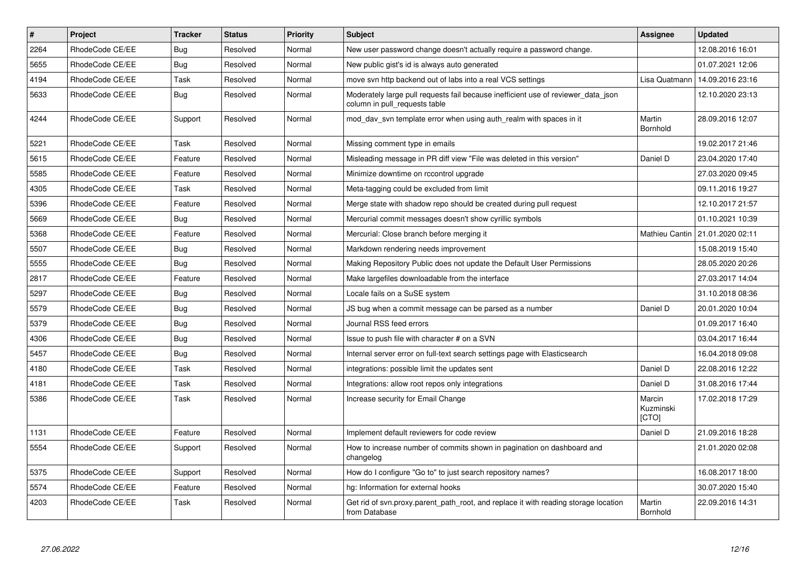| $\pmb{\#}$ | <b>Project</b>  | <b>Tracker</b> | <b>Status</b> | Priority | <b>Subject</b>                                                                                                     | <b>Assignee</b>              | <b>Updated</b>   |
|------------|-----------------|----------------|---------------|----------|--------------------------------------------------------------------------------------------------------------------|------------------------------|------------------|
| 2264       | RhodeCode CE/EE | Bug            | Resolved      | Normal   | New user password change doesn't actually require a password change.                                               |                              | 12.08.2016 16:01 |
| 5655       | RhodeCode CE/EE | <b>Bug</b>     | Resolved      | Normal   | New public gist's id is always auto generated                                                                      |                              | 01.07.2021 12:06 |
| 4194       | RhodeCode CE/EE | Task           | Resolved      | Normal   | move syn http backend out of labs into a real VCS settings                                                         | Lisa Quatmann                | 14.09.2016 23:16 |
| 5633       | RhodeCode CE/EE | <b>Bug</b>     | Resolved      | Normal   | Moderately large pull requests fail because inefficient use of reviewer_data_json<br>column in pull requests table |                              | 12.10.2020 23:13 |
| 4244       | RhodeCode CE/EE | Support        | Resolved      | Normal   | mod_dav_svn template error when using auth_realm with spaces in it                                                 | Martin<br><b>Bornhold</b>    | 28.09.2016 12:07 |
| 5221       | RhodeCode CE/EE | Task           | Resolved      | Normal   | Missing comment type in emails                                                                                     |                              | 19.02.2017 21:46 |
| 5615       | RhodeCode CE/EE | Feature        | Resolved      | Normal   | Misleading message in PR diff view "File was deleted in this version"                                              | Daniel D                     | 23.04.2020 17:40 |
| 5585       | RhodeCode CE/EE | Feature        | Resolved      | Normal   | Minimize downtime on rccontrol upgrade                                                                             |                              | 27.03.2020 09:45 |
| 4305       | RhodeCode CE/EE | Task           | Resolved      | Normal   | Meta-tagging could be excluded from limit                                                                          |                              | 09.11.2016 19:27 |
| 5396       | RhodeCode CE/EE | Feature        | Resolved      | Normal   | Merge state with shadow repo should be created during pull request                                                 |                              | 12.10.2017 21:57 |
| 5669       | RhodeCode CE/EE | Bug            | Resolved      | Normal   | Mercurial commit messages doesn't show cyrillic symbols                                                            |                              | 01.10.2021 10:39 |
| 5368       | RhodeCode CE/EE | Feature        | Resolved      | Normal   | Mercurial: Close branch before merging it                                                                          | Mathieu Cantin               | 21.01.2020 02:11 |
| 5507       | RhodeCode CE/EE | Bug            | Resolved      | Normal   | Markdown rendering needs improvement                                                                               |                              | 15.08.2019 15:40 |
| 5555       | RhodeCode CE/EE | Bug            | Resolved      | Normal   | Making Repository Public does not update the Default User Permissions                                              |                              | 28.05.2020 20:26 |
| 2817       | RhodeCode CE/EE | Feature        | Resolved      | Normal   | Make largefiles downloadable from the interface                                                                    |                              | 27.03.2017 14:04 |
| 5297       | RhodeCode CE/EE | Bug            | Resolved      | Normal   | Locale fails on a SuSE system                                                                                      |                              | 31.10.2018 08:36 |
| 5579       | RhodeCode CE/EE | Bug            | Resolved      | Normal   | JS bug when a commit message can be parsed as a number                                                             | Daniel D                     | 20.01.2020 10:04 |
| 5379       | RhodeCode CE/EE | Bug            | Resolved      | Normal   | Journal RSS feed errors                                                                                            |                              | 01.09.2017 16:40 |
| 4306       | RhodeCode CE/EE | <b>Bug</b>     | Resolved      | Normal   | Issue to push file with character # on a SVN                                                                       |                              | 03.04.2017 16:44 |
| 5457       | RhodeCode CE/EE | Bug            | Resolved      | Normal   | Internal server error on full-text search settings page with Elasticsearch                                         |                              | 16.04.2018 09:08 |
| 4180       | RhodeCode CE/EE | Task           | Resolved      | Normal   | integrations: possible limit the updates sent                                                                      | Daniel D                     | 22.08.2016 12:22 |
| 4181       | RhodeCode CE/EE | Task           | Resolved      | Normal   | Integrations: allow root repos only integrations                                                                   | Daniel D                     | 31.08.2016 17:44 |
| 5386       | RhodeCode CE/EE | Task           | Resolved      | Normal   | Increase security for Email Change                                                                                 | Marcin<br>Kuzminski<br>[CTO] | 17.02.2018 17:29 |
| 1131       | RhodeCode CE/EE | Feature        | Resolved      | Normal   | Implement default reviewers for code review                                                                        | Daniel D                     | 21.09.2016 18:28 |
| 5554       | RhodeCode CE/EE | Support        | Resolved      | Normal   | How to increase number of commits shown in pagination on dashboard and<br>changelog                                |                              | 21.01.2020 02:08 |
| 5375       | RhodeCode CE/EE | Support        | Resolved      | Normal   | How do I configure "Go to" to just search repository names?                                                        |                              | 16.08.2017 18:00 |
| 5574       | RhodeCode CE/EE | Feature        | Resolved      | Normal   | hg: Information for external hooks                                                                                 |                              | 30.07.2020 15:40 |
| 4203       | RhodeCode CE/EE | Task           | Resolved      | Normal   | Get rid of syn.proxy.parent path root, and replace it with reading storage location<br>from Database               | Martin<br><b>Bornhold</b>    | 22.09.2016 14:31 |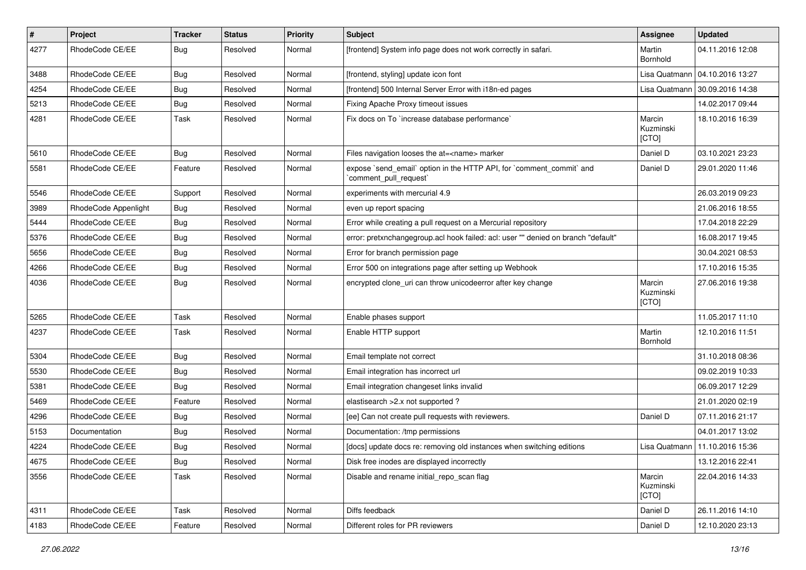| $\pmb{\#}$ | Project              | <b>Tracker</b> | <b>Status</b> | <b>Priority</b> | <b>Subject</b>                                                                               | <b>Assignee</b>              | <b>Updated</b>   |
|------------|----------------------|----------------|---------------|-----------------|----------------------------------------------------------------------------------------------|------------------------------|------------------|
| 4277       | RhodeCode CE/EE      | Bug            | Resolved      | Normal          | [frontend] System info page does not work correctly in safari.                               | Martin<br>Bornhold           | 04.11.2016 12:08 |
| 3488       | RhodeCode CE/EE      | Bug            | Resolved      | Normal          | [frontend, styling] update icon font                                                         | Lisa Quatmann                | 04.10.2016 13:27 |
| 4254       | RhodeCode CE/EE      | Bug            | Resolved      | Normal          | [frontend] 500 Internal Server Error with i18n-ed pages                                      | Lisa Quatmann                | 30.09.2016 14:38 |
| 5213       | RhodeCode CE/EE      | Bug            | Resolved      | Normal          | Fixing Apache Proxy timeout issues                                                           |                              | 14.02.2017 09:44 |
| 4281       | RhodeCode CE/EE      | Task           | Resolved      | Normal          | Fix docs on To `increase database performance`                                               | Marcin<br>Kuzminski<br>[CTO] | 18.10.2016 16:39 |
| 5610       | RhodeCode CE/EE      | Bug            | Resolved      | Normal          | Files navigation looses the at= <name> marker</name>                                         | Daniel D                     | 03.10.2021 23:23 |
| 5581       | RhodeCode CE/EE      | Feature        | Resolved      | Normal          | expose `send_email` option in the HTTP API, for `comment_commit` and<br>comment pull request | Daniel D                     | 29.01.2020 11:46 |
| 5546       | RhodeCode CE/EE      | Support        | Resolved      | Normal          | experiments with mercurial 4.9                                                               |                              | 26.03.2019 09:23 |
| 3989       | RhodeCode Appenlight | Bug            | Resolved      | Normal          | even up report spacing                                                                       |                              | 21.06.2016 18:55 |
| 5444       | RhodeCode CE/EE      | Bug            | Resolved      | Normal          | Error while creating a pull request on a Mercurial repository                                |                              | 17.04.2018 22:29 |
| 5376       | RhodeCode CE/EE      | Bug            | Resolved      | Normal          | error: pretxnchangegroup.acl hook failed: acl: user "" denied on branch "default"            |                              | 16.08.2017 19:45 |
| 5656       | RhodeCode CE/EE      | Bug            | Resolved      | Normal          | Error for branch permission page                                                             |                              | 30.04.2021 08:53 |
| 4266       | RhodeCode CE/EE      | Bug            | Resolved      | Normal          | Error 500 on integrations page after setting up Webhook                                      |                              | 17.10.2016 15:35 |
| 4036       | RhodeCode CE/EE      | Bug            | Resolved      | Normal          | encrypted clone uri can throw unicodeerror after key change                                  | Marcin<br>Kuzminski<br>[CTO] | 27.06.2016 19:38 |
| 5265       | RhodeCode CE/EE      | Task           | Resolved      | Normal          | Enable phases support                                                                        |                              | 11.05.2017 11:10 |
| 4237       | RhodeCode CE/EE      | Task           | Resolved      | Normal          | Enable HTTP support                                                                          | Martin<br>Bornhold           | 12.10.2016 11:51 |
| 5304       | RhodeCode CE/EE      | Bug            | Resolved      | Normal          | Email template not correct                                                                   |                              | 31.10.2018 08:36 |
| 5530       | RhodeCode CE/EE      | Bug            | Resolved      | Normal          | Email integration has incorrect url                                                          |                              | 09.02.2019 10:33 |
| 5381       | RhodeCode CE/EE      | Bug            | Resolved      | Normal          | Email integration changeset links invalid                                                    |                              | 06.09.2017 12:29 |
| 5469       | RhodeCode CE/EE      | Feature        | Resolved      | Normal          | elastisearch > 2.x not supported ?                                                           |                              | 21.01.2020 02:19 |
| 4296       | RhodeCode CE/EE      | Bug            | Resolved      | Normal          | [ee] Can not create pull requests with reviewers.                                            | Daniel D                     | 07.11.2016 21:17 |
| 5153       | Documentation        | Bug            | Resolved      | Normal          | Documentation: /tmp permissions                                                              |                              | 04.01.2017 13:02 |
| 4224       | RhodeCode CE/EE      | Bug            | Resolved      | Normal          | [docs] update docs re: removing old instances when switching editions                        | Lisa Quatmann                | 11.10.2016 15:36 |
| 4675       | RhodeCode CE/EE      | <b>Bug</b>     | Resolved      | Normal          | Disk free inodes are displayed incorrectly                                                   |                              | 13.12.2016 22:41 |
| 3556       | RhodeCode CE/EE      | Task           | Resolved      | Normal          | Disable and rename initial_repo_scan flag                                                    | Marcin<br>Kuzminski<br>[CTO] | 22.04.2016 14:33 |
| 4311       | RhodeCode CE/EE      | Task           | Resolved      | Normal          | Diffs feedback                                                                               | Daniel D                     | 26.11.2016 14:10 |
| 4183       | RhodeCode CE/EE      | Feature        | Resolved      | Normal          | Different roles for PR reviewers                                                             | Daniel D                     | 12.10.2020 23:13 |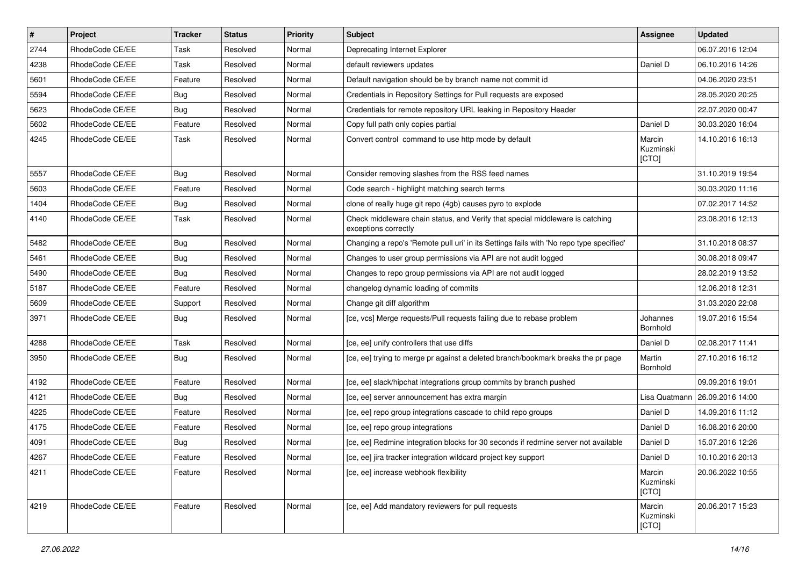| #    | Project         | <b>Tracker</b> | <b>Status</b> | <b>Priority</b> | <b>Subject</b>                                                                                        | Assignee                     | <b>Updated</b>   |
|------|-----------------|----------------|---------------|-----------------|-------------------------------------------------------------------------------------------------------|------------------------------|------------------|
| 2744 | RhodeCode CE/EE | Task           | Resolved      | Normal          | Deprecating Internet Explorer                                                                         |                              | 06.07.2016 12:04 |
| 4238 | RhodeCode CE/EE | Task           | Resolved      | Normal          | default reviewers updates                                                                             | Daniel D                     | 06.10.2016 14:26 |
| 5601 | RhodeCode CE/EE | Feature        | Resolved      | Normal          | Default navigation should be by branch name not commit id                                             |                              | 04.06.2020 23:51 |
| 5594 | RhodeCode CE/EE | Bug            | Resolved      | Normal          | Credentials in Repository Settings for Pull requests are exposed                                      |                              | 28.05.2020 20:25 |
| 5623 | RhodeCode CE/EE | <b>Bug</b>     | Resolved      | Normal          | Credentials for remote repository URL leaking in Repository Header                                    |                              | 22.07.2020 00:47 |
| 5602 | RhodeCode CE/EE | Feature        | Resolved      | Normal          | Copy full path only copies partial                                                                    | Daniel D                     | 30.03.2020 16:04 |
| 4245 | RhodeCode CE/EE | Task           | Resolved      | Normal          | Convert control command to use http mode by default                                                   | Marcin<br>Kuzminski<br>[CTO] | 14.10.2016 16:13 |
| 5557 | RhodeCode CE/EE | Bug            | Resolved      | Normal          | Consider removing slashes from the RSS feed names                                                     |                              | 31.10.2019 19:54 |
| 5603 | RhodeCode CE/EE | Feature        | Resolved      | Normal          | Code search - highlight matching search terms                                                         |                              | 30.03.2020 11:16 |
| 1404 | RhodeCode CE/EE | Bug            | Resolved      | Normal          | clone of really huge git repo (4gb) causes pyro to explode                                            |                              | 07.02.2017 14:52 |
| 4140 | RhodeCode CE/EE | Task           | Resolved      | Normal          | Check middleware chain status, and Verify that special middleware is catching<br>exceptions correctly |                              | 23.08.2016 12:13 |
| 5482 | RhodeCode CE/EE | Bug            | Resolved      | Normal          | Changing a repo's 'Remote pull uri' in its Settings fails with 'No repo type specified'               |                              | 31.10.2018 08:37 |
| 5461 | RhodeCode CE/EE | Bug            | Resolved      | Normal          | Changes to user group permissions via API are not audit logged                                        |                              | 30.08.2018 09:47 |
| 5490 | RhodeCode CE/EE | Bug            | Resolved      | Normal          | Changes to repo group permissions via API are not audit logged                                        |                              | 28.02.2019 13:52 |
| 5187 | RhodeCode CE/EE | Feature        | Resolved      | Normal          | changelog dynamic loading of commits                                                                  |                              | 12.06.2018 12:31 |
| 5609 | RhodeCode CE/EE | Support        | Resolved      | Normal          | Change git diff algorithm                                                                             |                              | 31.03.2020 22:08 |
| 3971 | RhodeCode CE/EE | <b>Bug</b>     | Resolved      | Normal          | [ce, vcs] Merge requests/Pull requests failing due to rebase problem                                  | Johannes<br>Bornhold         | 19.07.2016 15:54 |
| 4288 | RhodeCode CE/EE | Task           | Resolved      | Normal          | [ce, ee] unify controllers that use diffs                                                             | Daniel D                     | 02.08.2017 11:41 |
| 3950 | RhodeCode CE/EE | Bug            | Resolved      | Normal          | [ce, ee] trying to merge pr against a deleted branch/bookmark breaks the pr page                      | Martin<br>Bornhold           | 27.10.2016 16:12 |
| 4192 | RhodeCode CE/EE | Feature        | Resolved      | Normal          | [ce, ee] slack/hipchat integrations group commits by branch pushed                                    |                              | 09.09.2016 19:01 |
| 4121 | RhodeCode CE/EE | Bug            | Resolved      | Normal          | [ce, ee] server announcement has extra margin                                                         | Lisa Quatmann                | 26.09.2016 14:00 |
| 4225 | RhodeCode CE/EE | Feature        | Resolved      | Normal          | [ce, ee] repo group integrations cascade to child repo groups                                         | Daniel D                     | 14.09.2016 11:12 |
| 4175 | RhodeCode CE/EE | Feature        | Resolved      | Normal          | [ce, ee] repo group integrations                                                                      | Daniel D                     | 16.08.2016 20:00 |
| 4091 | RhodeCode CE/EE | <b>Bug</b>     | Resolved      | Normal          | [ce, ee] Redmine integration blocks for 30 seconds if redmine server not available                    | Daniel D                     | 15.07.2016 12:26 |
| 4267 | RhodeCode CE/EE | Feature        | Resolved      | Normal          | [ce, ee] jira tracker integration wildcard project key support                                        | Daniel D                     | 10.10.2016 20:13 |
| 4211 | RhodeCode CE/EE | Feature        | Resolved      | Normal          | [ce, ee] increase webhook flexibility                                                                 | Marcin<br>Kuzminski<br>[CTO] | 20.06.2022 10:55 |
| 4219 | RhodeCode CE/EE | Feature        | Resolved      | Normal          | [ce, ee] Add mandatory reviewers for pull requests                                                    | Marcin<br>Kuzminski<br>[CTO] | 20.06.2017 15:23 |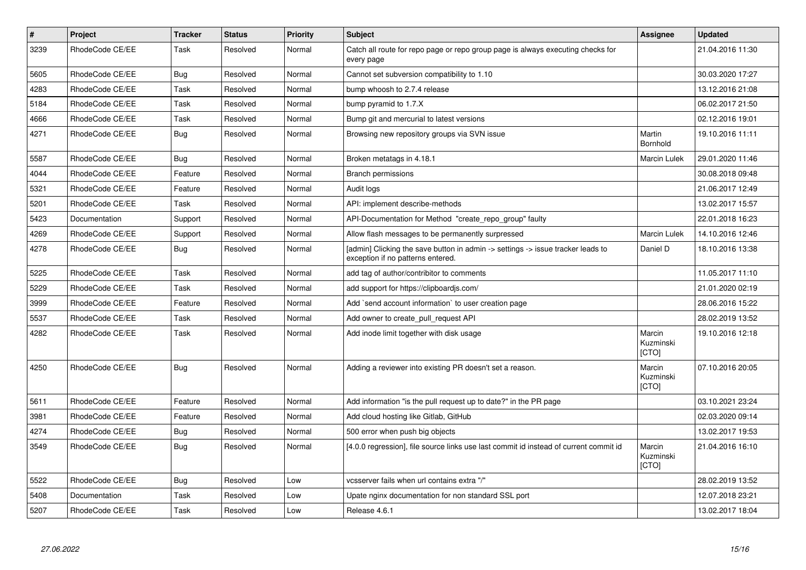| $\#$ | <b>Project</b>  | <b>Tracker</b> | <b>Status</b> | Priority | <b>Subject</b>                                                                                                       | Assignee                     | <b>Updated</b>   |
|------|-----------------|----------------|---------------|----------|----------------------------------------------------------------------------------------------------------------------|------------------------------|------------------|
| 3239 | RhodeCode CE/EE | Task           | Resolved      | Normal   | Catch all route for repo page or repo group page is always executing checks for<br>every page                        |                              | 21.04.2016 11:30 |
| 5605 | RhodeCode CE/EE | <b>Bug</b>     | Resolved      | Normal   | Cannot set subversion compatibility to 1.10                                                                          |                              | 30.03.2020 17:27 |
| 4283 | RhodeCode CE/EE | Task           | Resolved      | Normal   | bump whoosh to 2.7.4 release                                                                                         |                              | 13.12.2016 21:08 |
| 5184 | RhodeCode CE/EE | Task           | Resolved      | Normal   | bump pyramid to 1.7.X                                                                                                |                              | 06.02.2017 21:50 |
| 4666 | RhodeCode CE/EE | Task           | Resolved      | Normal   | Bump git and mercurial to latest versions                                                                            |                              | 02.12.2016 19:01 |
| 4271 | RhodeCode CE/EE | Bug            | Resolved      | Normal   | Browsing new repository groups via SVN issue                                                                         | Martin<br>Bornhold           | 19.10.2016 11:11 |
| 5587 | RhodeCode CE/EE | Bug            | Resolved      | Normal   | Broken metatags in 4.18.1                                                                                            | Marcin Lulek                 | 29.01.2020 11:46 |
| 4044 | RhodeCode CE/EE | Feature        | Resolved      | Normal   | <b>Branch permissions</b>                                                                                            |                              | 30.08.2018 09:48 |
| 5321 | RhodeCode CE/EE | Feature        | Resolved      | Normal   | Audit logs                                                                                                           |                              | 21.06.2017 12:49 |
| 5201 | RhodeCode CE/EE | Task           | Resolved      | Normal   | API: implement describe-methods                                                                                      |                              | 13.02.2017 15:57 |
| 5423 | Documentation   | Support        | Resolved      | Normal   | API-Documentation for Method "create repo group" faulty                                                              |                              | 22.01.2018 16:23 |
| 4269 | RhodeCode CE/EE | Support        | Resolved      | Normal   | Allow flash messages to be permanently surpressed                                                                    | Marcin Lulek                 | 14.10.2016 12:46 |
| 4278 | RhodeCode CE/EE | <b>Bug</b>     | Resolved      | Normal   | [admin] Clicking the save button in admin -> settings -> issue tracker leads to<br>exception if no patterns entered. | Daniel D                     | 18.10.2016 13:38 |
| 5225 | RhodeCode CE/EE | Task           | Resolved      | Normal   | add tag of author/contribitor to comments                                                                            |                              | 11.05.2017 11:10 |
| 5229 | RhodeCode CE/EE | Task           | Resolved      | Normal   | add support for https://clipboardjs.com/                                                                             |                              | 21.01.2020 02:19 |
| 3999 | RhodeCode CE/EE | Feature        | Resolved      | Normal   | Add `send account information` to user creation page                                                                 |                              | 28.06.2016 15:22 |
| 5537 | RhodeCode CE/EE | Task           | Resolved      | Normal   | Add owner to create pull request API                                                                                 |                              | 28.02.2019 13:52 |
| 4282 | RhodeCode CE/EE | Task           | Resolved      | Normal   | Add inode limit together with disk usage                                                                             | Marcin<br>Kuzminski<br>[CTO] | 19.10.2016 12:18 |
| 4250 | RhodeCode CE/EE | <b>Bug</b>     | Resolved      | Normal   | Adding a reviewer into existing PR doesn't set a reason.                                                             | Marcin<br>Kuzminski<br>[CTO] | 07.10.2016 20:05 |
| 5611 | RhodeCode CE/EE | Feature        | Resolved      | Normal   | Add information "is the pull request up to date?" in the PR page                                                     |                              | 03.10.2021 23:24 |
| 3981 | RhodeCode CE/EE | Feature        | Resolved      | Normal   | Add cloud hosting like Gitlab, GitHub                                                                                |                              | 02.03.2020 09:14 |
| 4274 | RhodeCode CE/EE | <b>Bug</b>     | Resolved      | Normal   | 500 error when push big objects                                                                                      |                              | 13.02.2017 19:53 |
| 3549 | RhodeCode CE/EE | Bug            | Resolved      | Normal   | [4.0.0 regression], file source links use last commit id instead of current commit id                                | Marcin<br>Kuzminski<br>[CTO] | 21.04.2016 16:10 |
| 5522 | RhodeCode CE/EE | <b>Bug</b>     | Resolved      | Low      | vcsserver fails when url contains extra "/"                                                                          |                              | 28.02.2019 13:52 |
| 5408 | Documentation   | Task           | Resolved      | Low      | Upate nginx documentation for non standard SSL port                                                                  |                              | 12.07.2018 23:21 |
| 5207 | RhodeCode CE/EE | Task           | Resolved      | Low      | Release 4.6.1                                                                                                        |                              | 13.02.2017 18:04 |